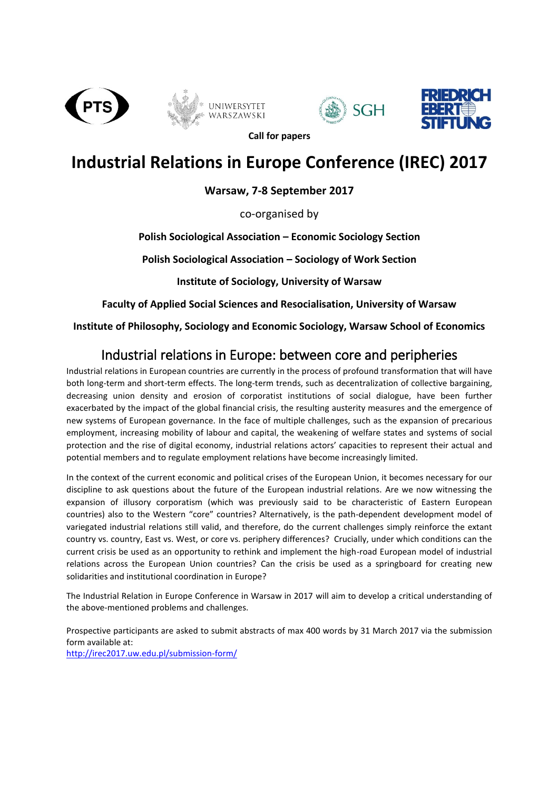







**Call for papers**

## **Industrial Relations in Europe Conference (IREC) 2017**

**Warsaw, 7-8 September 2017**

co-organised by

**Polish Sociological Association – Economic Sociology Section**

**Polish Sociological Association – Sociology of Work Section**

**Institute of Sociology, University of Warsaw**

**Faculty of Applied Social Sciences and Resocialisation, University of Warsaw**

**Institute of Philosophy, Sociology and Economic Sociology, Warsaw School of Economics**

## Industrial relations in Europe: between core and peripheries

Industrial relations in European countries are currently in the process of profound transformation that will have both long-term and short-term effects. The long-term trends, such as decentralization of collective bargaining, decreasing union density and erosion of corporatist institutions of social dialogue, have been further exacerbated by the impact of the global financial crisis, the resulting austerity measures and the emergence of new systems of European governance. In the face of multiple challenges, such as the expansion of precarious employment, increasing mobility of labour and capital, the weakening of welfare states and systems of social protection and the rise of digital economy, industrial relations actors' capacities to represent their actual and potential members and to regulate employment relations have become increasingly limited.

In the context of the current economic and political crises of the European Union, it becomes necessary for our discipline to ask questions about the future of the European industrial relations. Are we now witnessing the expansion of illusory corporatism (which was previously said to be characteristic of Eastern European countries) also to the Western "core" countries? Alternatively, is the path-dependent development model of variegated industrial relations still valid, and therefore, do the current challenges simply reinforce the extant country vs. country, East vs. West, or core vs. periphery differences? Crucially, under which conditions can the current crisis be used as an opportunity to rethink and implement the high-road European model of industrial relations across the European Union countries? Can the crisis be used as a springboard for creating new solidarities and institutional coordination in Europe?

The Industrial Relation in Europe Conference in Warsaw in 2017 will aim to develop a critical understanding of the above-mentioned problems and challenges.

Prospective participants are asked to submit abstracts of max 400 words by 31 March 2017 via the submission form available at: <http://irec2017.uw.edu.pl/submission-form/>